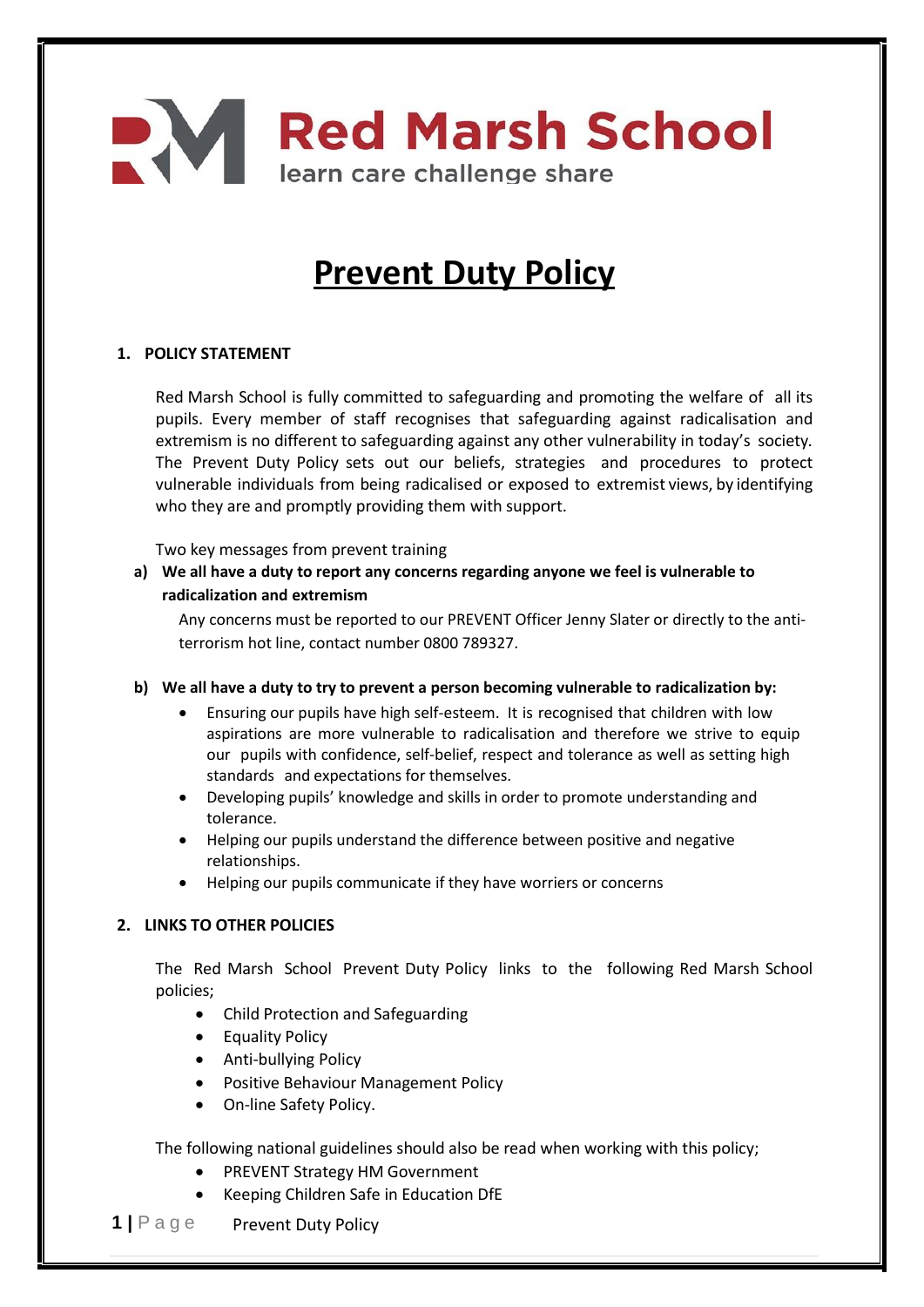# **Ned Marsh School** learn care challenge share

# **Prevent Duty Policy**

# **1. POLICY STATEMENT**

Red Marsh School is fully committed to safeguarding and promoting the welfare of all its pupils. Every member of staff recognises that safeguarding against radicalisation and extremism is no different to safeguarding against any other vulnerability in today's society*.* The Prevent Duty Policy sets out our beliefs, strategies and procedures to protect vulnerable individuals from being radicalised or exposed to extremist views, by identifying who they are and promptly providing them with support.

Two key messages from prevent training

**a) We all have a duty to report any concerns regarding anyone we feel is vulnerable to radicalization and extremism** 

Any concerns must be reported to our PREVENT Officer Jenny Slater or directly to the antiterrorism hot line, contact number 0800 789327.

- **b) We all have a duty to try to prevent a person becoming vulnerable to radicalization by:** 
	- Ensuring our pupils have high self-esteem. It is recognised that children with low aspirations are more vulnerable to radicalisation and therefore we strive to equip our pupils with confidence, self-belief, respect and tolerance as well as setting high standards and expectations for themselves.
	- Developing pupils' knowledge and skills in order to promote understanding and tolerance.
	- Helping our pupils understand the difference between positive and negative relationships.
	- Helping our pupils communicate if they have worriers or concerns

## **2. LINKS TO OTHER POLICIES**

The Red Marsh School Prevent Duty Policy links to the following Red Marsh School policies;

- Child Protection and Safeguarding
- Equality Policy
- Anti-bullying Policy
- Positive Behaviour Management Policy
- On-line Safety Policy.

The following national guidelines should also be read when working with this policy;

- PREVENT Strategy HM Government
- Keeping Children Safe in Education DfE
- **1 |** P a g e Prevent Duty Policy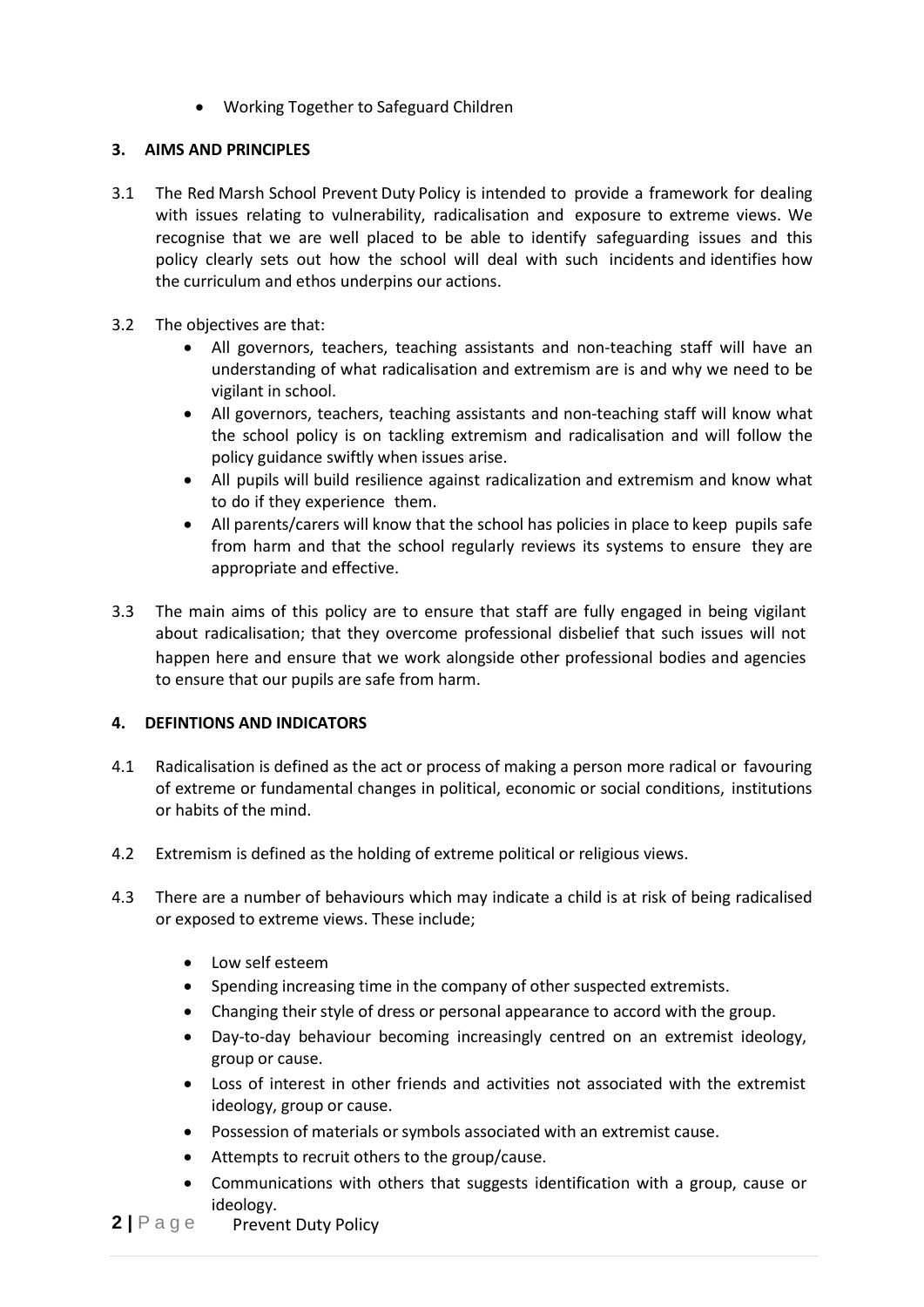Working Together to Safeguard Children

# **3. AIMS AND PRINCIPLES**

- 3.1 The Red Marsh School Prevent Duty Policy is intended to provide a framework for dealing with issues relating to vulnerability, radicalisation and exposure to extreme views. We recognise that we are well placed to be able to identify safeguarding issues and this policy clearly sets out how the school will deal with such incidents and identifies how the curriculum and ethos underpins our actions.
- 3.2 The objectives are that:
	- All governors, teachers, teaching assistants and non-teaching staff will have an understanding of what radicalisation and extremism are is and why we need to be vigilant in school.
	- All governors, teachers, teaching assistants and non-teaching staff will know what the school policy is on tackling extremism and radicalisation and will follow the policy guidance swiftly when issues arise.
	- All pupils will build resilience against radicalization and extremism and know what to do if they experience them.
	- All parents/carers will know that the school has policies in place to keep pupils safe from harm and that the school regularly reviews its systems to ensure they are appropriate and effective.
- 3.3 The main aims of this policy are to ensure that staff are fully engaged in being vigilant about radicalisation; that they overcome professional disbelief that such issues will not happen here and ensure that we work alongside other professional bodies and agencies to ensure that our pupils are safe from harm.

# **4. DEFINTIONS AND INDICATORS**

- 4.1 Radicalisation is defined as the act or process of making a person more radical or favouring of extreme or fundamental changes in political, economic or social conditions, institutions or habits of the mind.
- 4.2 Extremism is defined as the holding of extreme political or religious views.
- 4.3 There are a number of behaviours which may indicate a child is at risk of being radicalised or exposed to extreme views. These include;
	- Low self esteem
	- Spending increasing time in the company of other suspected extremists.
	- Changing their style of dress or personal appearance to accord with the group.
	- Day-to-day behaviour becoming increasingly centred on an extremist ideology, group or cause.
	- Loss of interest in other friends and activities not associated with the extremist ideology, group or cause.
	- Possession of materials or symbols associated with an extremist cause.
	- Attempts to recruit others to the group/cause.
	- Communications with others that suggests identification with a group, cause or ideology.
- **2** | P a g e Prevent Duty Policy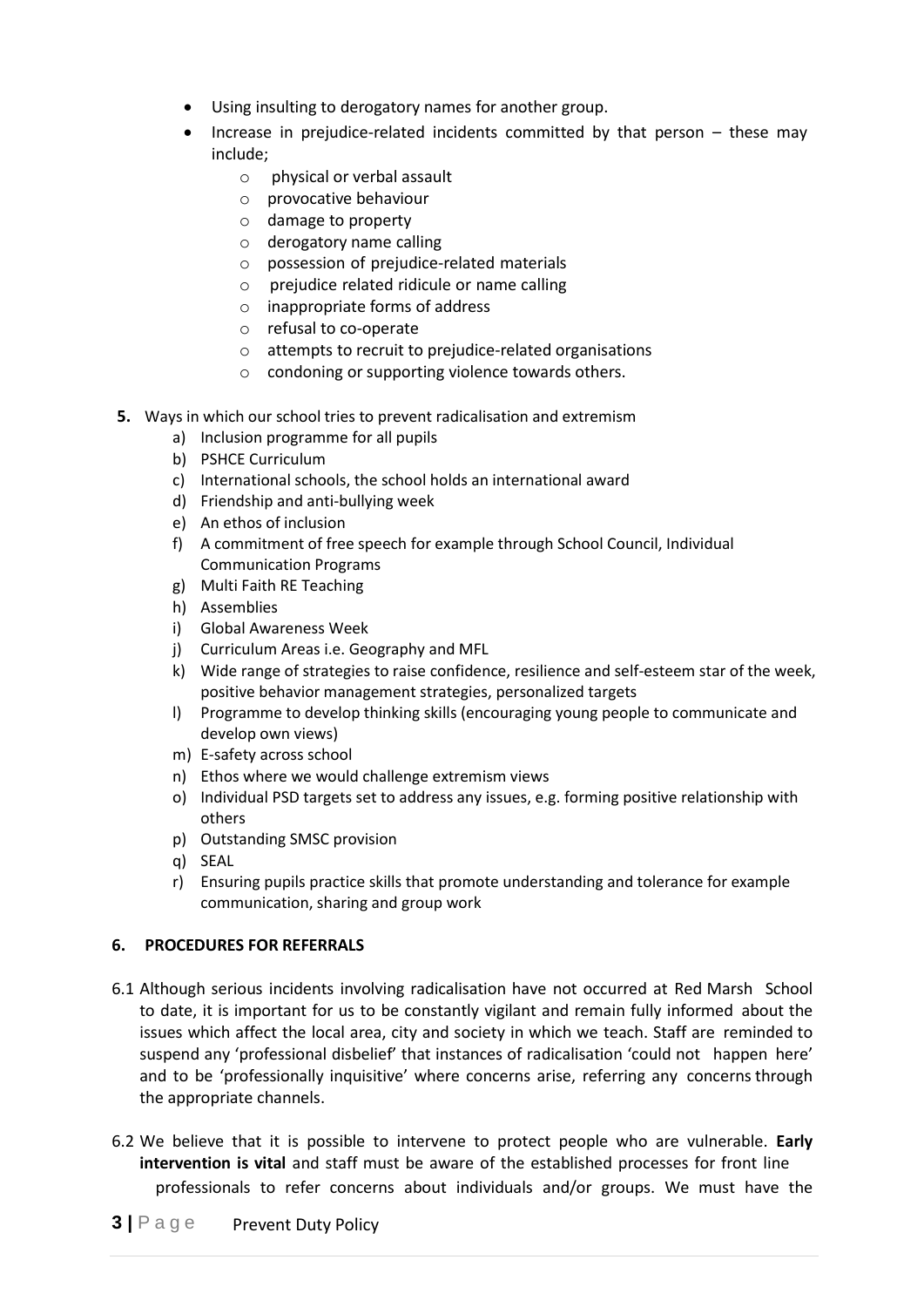- Using insulting to derogatory names for another group.
- Increase in prejudice-related incidents committed by that person these may include;
	- o physical or verbal assault
	- o provocative behaviour
	- o damage to property
	- o derogatory name calling
	- o possession of prejudice-related materials
	- o prejudice related ridicule or name calling
	- o inappropriate forms of address
	- o refusal to co-operate
	- o attempts to recruit to prejudice-related organisations
	- o condoning or supporting violence towards others.
- **5.** Ways in which our school tries to prevent radicalisation and extremism
	- a) Inclusion programme for all pupils
	- b) PSHCE Curriculum
	- c) International schools, the school holds an international award
	- d) Friendship and anti-bullying week
	- e) An ethos of inclusion
	- f) A commitment of free speech for example through School Council, Individual Communication Programs
	- g) Multi Faith RE Teaching
	- h) Assemblies
	- i) Global Awareness Week
	- j) Curriculum Areas i.e. Geography and MFL
	- k) Wide range of strategies to raise confidence, resilience and self-esteem star of the week, positive behavior management strategies, personalized targets
	- l) Programme to develop thinking skills (encouraging young people to communicate and develop own views)
	- m) E-safety across school
	- n) Ethos where we would challenge extremism views
	- o) Individual PSD targets set to address any issues, e.g. forming positive relationship with others
	- p) Outstanding SMSC provision
	- q) SEAL
	- r) Ensuring pupils practice skills that promote understanding and tolerance for example communication, sharing and group work

## **6. PROCEDURES FOR REFERRALS**

- 6.1 Although serious incidents involving radicalisation have not occurred at Red Marsh School to date, it is important for us to be constantly vigilant and remain fully informed about the issues which affect the local area, city and society in which we teach. Staff are reminded to suspend any 'professional disbelief' that instances of radicalisation 'could not happen here' and to be 'professionally inquisitive' where concerns arise, referring any concerns through the appropriate channels.
- 6.2 We believe that it is possible to intervene to protect people who are vulnerable. **Early intervention is vital** and staff must be aware of the established processes for front line professionals to refer concerns about individuals and/or groups. We must have the